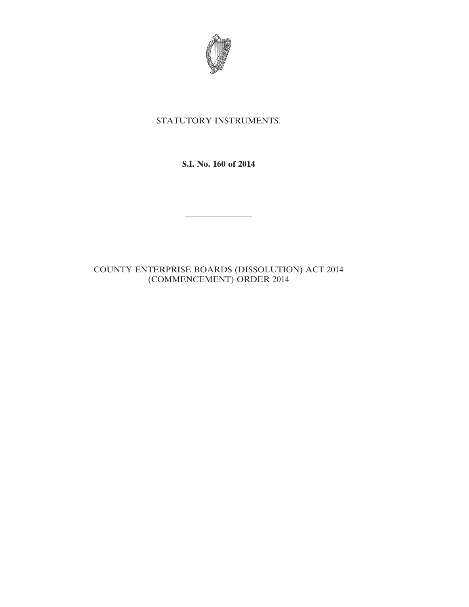

## STATUTORY INSTRUMENTS.

**S.I. No. 160 of 2014**

————————

## COUNTY ENTERPRISE BOARDS (DISSOLUTION) ACT 2014 (COMMENCEMENT) ORDER 2014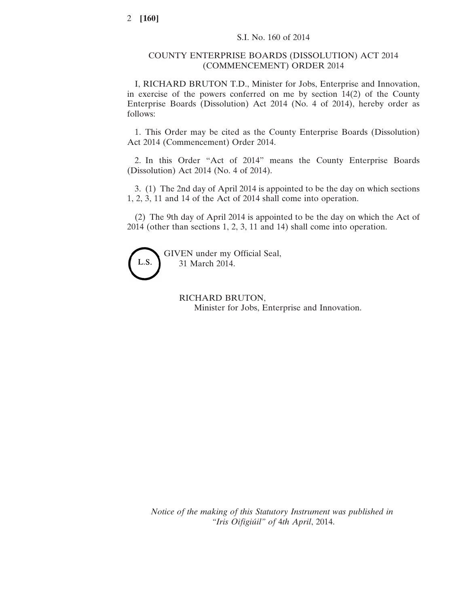## COUNTY ENTERPRISE BOARDS (DISSOLUTION) ACT 2014 (COMMENCEMENT) ORDER 2014

I, RICHARD BRUTON T.D., Minister for Jobs, Enterprise and Innovation, in exercise of the powers conferred on me by section 14(2) of the County Enterprise Boards (Dissolution) Act 2014 (No. 4 of 2014), hereby order as follows:

1. This Order may be cited as the County Enterprise Boards (Dissolution) Act 2014 (Commencement) Order 2014.

2. In this Order "Act of 2014" means the County Enterprise Boards (Dissolution) Act 2014 (No. 4 of 2014).

3. (1) The 2nd day of April 2014 is appointed to be the day on which sections 1, 2, 3, 11 and 14 of the Act of 2014 shall come into operation.

(2) The 9th day of April 2014 is appointed to be the day on which the Act of 2014 (other than sections 1, 2, 3, 11 and 14) shall come into operation.



GIVEN under my Official Seal, 31 March 2014.

> RICHARD BRUTON, Minister for Jobs, Enterprise and Innovation.

*Notice of the making of this Statutory Instrument was published in "Iris Oifigiúil" of* 4*th April*, 2014.